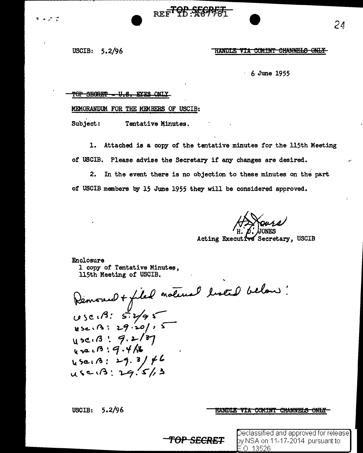USCIB: 5.2/96

و مرمانه

#### HANDLE VIA COMINT CHANNELS ONLY

- 6 June 1955

### TOP SEGRET - U.S. EYES ONLY

MEMORANDUM FOR THE MEMBERS OF USCIB:

Subject: Tentative Minutes.

1. Attached is a copy of the tentative minutes for the 115th Meeting of USCIB. Please advise the Secretary if any changes are desired.

REF<sup>TOP</sup>: SEGRET

2. In the event there is no objection to these minutes on the part *ot* USCIB members by l5 June 1955 they will be considered approved.

Acting Executive Secretary, USCIB

Enclosure 1 copy of Tentative Minutes, 115th Meeting of USCIB.

Removed + filed natural listed below !<br>1050.13: 5:2/95<br>1050.13: 29:20/15<br>1050.13: 9:2/37<br>1050.13: 9:4/18  $25e1B: 29.3/f6$ <br>use13: 29.5/3

**TOP** S£CRE~

USCIB: 5.2/96

### HANDLE VIA COMINT CHANNELS ONLY

.0. 13526

Declassified and approved for release] by NSA on 11-17-2014 pursuant to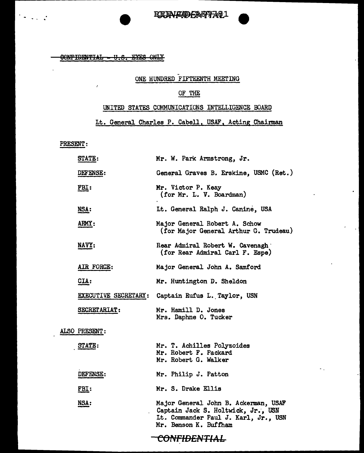CONFIDENTIAL - U.S. EYES ONLY

# ONE HUNDRED FIFTEENTH MEETING

## OF THE

# UNITED STATES COMMUNICATIONS INTELLIGENCE BOARD

## Lt. General Charles P. Cabell, USAF, Acting Chairman

 $\bullet$ 

н,

PRESENT:

 $\mathcal{L}_{\text{max}}$  ,  $\mathcal{L}_{\text{max}}$ 

| STATE:        | Mr. W. Park Armstrong, Jr.                                                                                                                  |
|---------------|---------------------------------------------------------------------------------------------------------------------------------------------|
| DEFENSE:      | General Graves B. Erskine, USMC (Ret.)                                                                                                      |
| FBI:          | Mr. Victor P. Keay<br>(for Mr. L. V. Boardman)                                                                                              |
| <u>NSA:</u>   | Lt. General Ralph J. Canine, USA                                                                                                            |
| ARMY:         | Major General Robert A. Schow<br>(for Major General Arthur G. Trudeau)                                                                      |
| NAVY:         | Rear Admiral Robert W. Cavenagh<br>(for Rear Admiral Carl F. Espe)                                                                          |
| AIR FORCE:    | Major General John A. Samford                                                                                                               |
| $CLA$ :       | Mr. Huntington D. Sheldon                                                                                                                   |
|               | EXECUTIVE SECRETARY: Captain Rufus L. Taylor, USN                                                                                           |
| SECRETARIAT:  | Mr. Hamill D. Jones<br>Mrs. Daphne O. Tucker                                                                                                |
| ALSO PRESENT: |                                                                                                                                             |
| STATE:        | Mr. T. Achilles Polyzoides<br>Mr. Robert F. Packard<br>Mr. Robert G. Walker                                                                 |
| DEFENSE:      | Mr. Philip J. Patton                                                                                                                        |
| FBI:          | Mr. S. Drake Ellis                                                                                                                          |
| NSA:          | Major General John B. Ackerman, USAF<br>Captain Jack S. Holtwick, Jr., USN<br>Lt. Commander Paul J. Karl, Jr., USN<br>Mr. Benson K. Buffham |
|               | <del>CONFIDENTIAL</del>                                                                                                                     |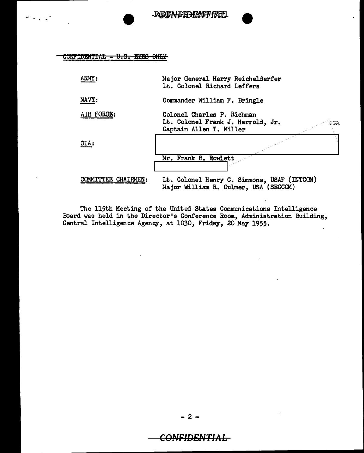REGNIEDHAGT FØJL

CONFIDENTIAL - U.S. EYES ONLY

 $\sigma^2 \propto \sqrt{2\pi}$ 

| ARMY:               | Major General Harry Reichelderfer<br>Lt. Colonel Richard Leffers                                  |
|---------------------|---------------------------------------------------------------------------------------------------|
| NAVY:               | Commander William F. Bringle                                                                      |
| AIR FORCE:          | Colonel Charles P. Richman<br>Lt. Colonel Frank J. Harrold, Jr.<br>OGA<br>Captain Allen T. Miller |
| CIA:                | Mr. Frank B. Rowlett                                                                              |
|                     |                                                                                                   |
| COMMITTEE CHAIRMEN: | Lt. Colonel Henry C. Simmons, USAF (INTCOM)<br>Major William R. Culmer. USA (SECCOM)              |

The 115th Meeting of the United States Communications Intelligence<br>Board was held in the Director's Conference Room, Administration Building,<br>Central Intelligence Agency, at 1030, Friday, 20 May 1955.

 $-2-$ 

**CONFIDENTIAL**